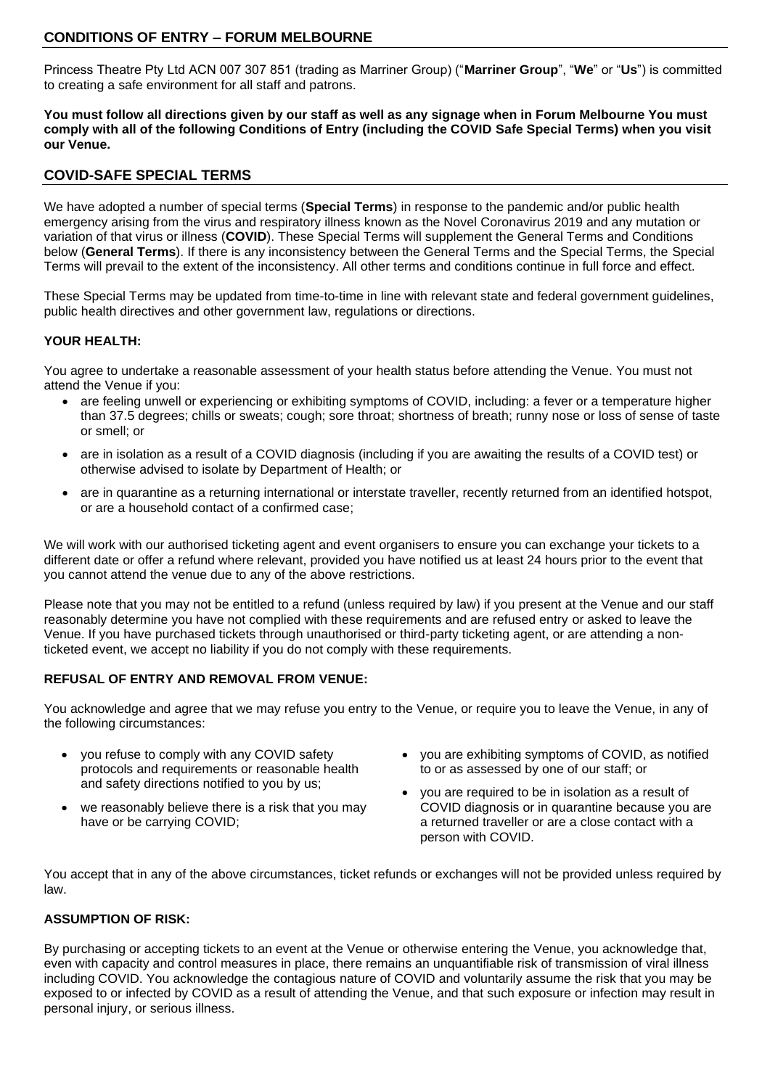# **CONDITIONS OF ENTRY – FORUM MELBOURNE**

Princess Theatre Pty Ltd ACN 007 307 851 (trading as Marriner Group) ("**Marriner Group**", "**We**" or "**Us**") is committed to creating a safe environment for all staff and patrons.

**You must follow all directions given by our staff as well as any signage when in Forum Melbourne You must comply with all of the following Conditions of Entry (including the COVID Safe Special Terms) when you visit our Venue.** 

# **COVID-SAFE SPECIAL TERMS**

We have adopted a number of special terms (**Special Terms**) in response to the pandemic and/or public health emergency arising from the virus and respiratory illness known as the Novel Coronavirus 2019 and any mutation or variation of that virus or illness (**COVID**). These Special Terms will supplement the General Terms and Conditions below (**General Terms**). If there is any inconsistency between the General Terms and the Special Terms, the Special Terms will prevail to the extent of the inconsistency. All other terms and conditions continue in full force and effect.

These Special Terms may be updated from time-to-time in line with relevant state and federal government guidelines, public health directives and other government law, regulations or directions.

### **YOUR HEALTH:**

You agree to undertake a reasonable assessment of your health status before attending the Venue. You must not attend the Venue if you:

- are feeling unwell or experiencing or exhibiting symptoms of COVID, including: a fever or a temperature higher than 37.5 degrees; chills or sweats; cough; sore throat; shortness of breath; runny nose or loss of sense of taste or smell; or
- are in isolation as a result of a COVID diagnosis (including if you are awaiting the results of a COVID test) or otherwise advised to isolate by Department of Health; or
- are in quarantine as a returning international or interstate traveller, recently returned from an identified hotspot, or are a household contact of a confirmed case;

We will work with our authorised ticketing agent and event organisers to ensure you can exchange your tickets to a different date or offer a refund where relevant, provided you have notified us at least 24 hours prior to the event that you cannot attend the venue due to any of the above restrictions.

Please note that you may not be entitled to a refund (unless required by law) if you present at the Venue and our staff reasonably determine you have not complied with these requirements and are refused entry or asked to leave the Venue. If you have purchased tickets through unauthorised or third-party ticketing agent, or are attending a nonticketed event, we accept no liability if you do not comply with these requirements.

# **REFUSAL OF ENTRY AND REMOVAL FROM VENUE:**

You acknowledge and agree that we may refuse you entry to the Venue, or require you to leave the Venue, in any of the following circumstances:

- you refuse to comply with any COVID safety protocols and requirements or reasonable health and safety directions notified to you by us;
- we reasonably believe there is a risk that you may have or be carrying COVID;
- you are exhibiting symptoms of COVID, as notified to or as assessed by one of our staff; or
- you are required to be in isolation as a result of COVID diagnosis or in quarantine because you are a returned traveller or are a close contact with a person with COVID.

You accept that in any of the above circumstances, ticket refunds or exchanges will not be provided unless required by law.

# **ASSUMPTION OF RISK:**

By purchasing or accepting tickets to an event at the Venue or otherwise entering the Venue, you acknowledge that, even with capacity and control measures in place, there remains an unquantifiable risk of transmission of viral illness including COVID. You acknowledge the contagious nature of COVID and voluntarily assume the risk that you may be exposed to or infected by COVID as a result of attending the Venue, and that such exposure or infection may result in personal injury, or serious illness.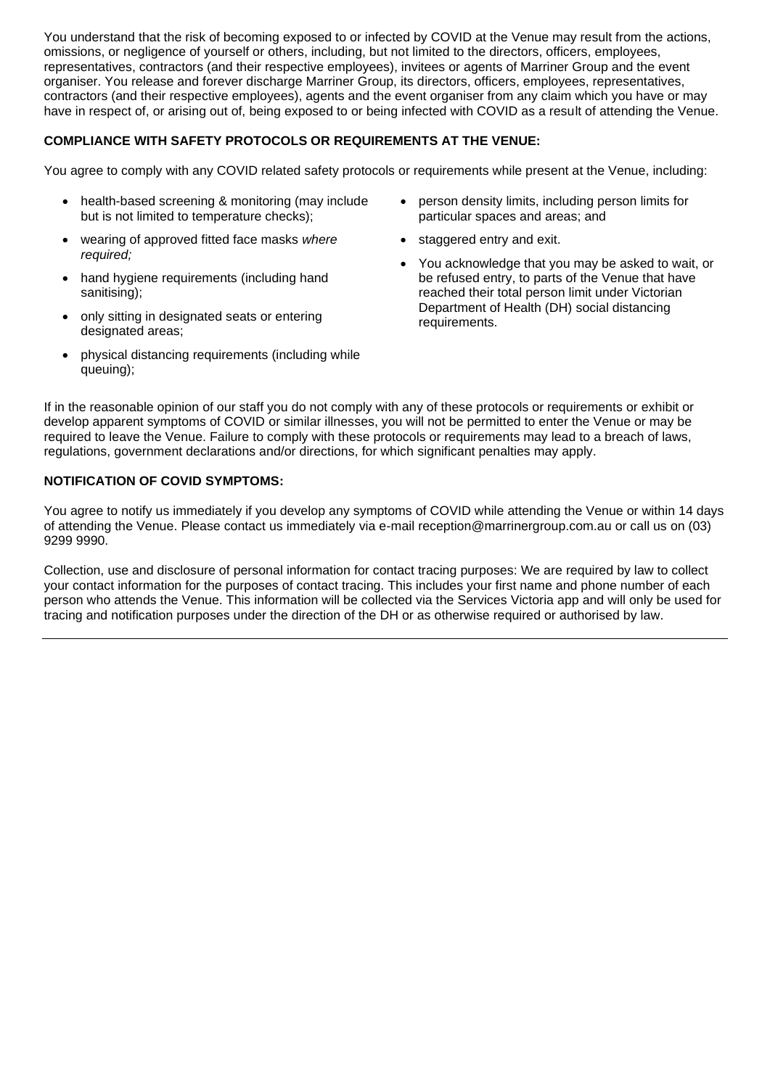You understand that the risk of becoming exposed to or infected by COVID at the Venue may result from the actions, omissions, or negligence of yourself or others, including, but not limited to the directors, officers, employees, representatives, contractors (and their respective employees), invitees or agents of Marriner Group and the event organiser. You release and forever discharge Marriner Group, its directors, officers, employees, representatives, contractors (and their respective employees), agents and the event organiser from any claim which you have or may have in respect of, or arising out of, being exposed to or being infected with COVID as a result of attending the Venue.

# **COMPLIANCE WITH SAFETY PROTOCOLS OR REQUIREMENTS AT THE VENUE:**

You agree to comply with any COVID related safety protocols or requirements while present at the Venue, including:

- health-based screening & monitoring (may include but is not limited to temperature checks);
- wearing of approved fitted face masks *where required;*
- hand hygiene requirements (including hand sanitising);
- only sitting in designated seats or entering designated areas:
- physical distancing requirements (including while queuing);
- person density limits, including person limits for particular spaces and areas; and
- staggered entry and exit.
- You acknowledge that you may be asked to wait, or be refused entry, to parts of the Venue that have reached their total person limit under Victorian Department of Health (DH) social distancing requirements.

If in the reasonable opinion of our staff you do not comply with any of these protocols or requirements or exhibit or develop apparent symptoms of COVID or similar illnesses, you will not be permitted to enter the Venue or may be required to leave the Venue. Failure to comply with these protocols or requirements may lead to a breach of laws, regulations, government declarations and/or directions, for which significant penalties may apply.

# **NOTIFICATION OF COVID SYMPTOMS:**

You agree to notify us immediately if you develop any symptoms of COVID while attending the Venue or within 14 days of attending the Venue. Please contact us immediately via e-mail reception@marrinergroup.com.au or call us on (03) 9299 9990.

Collection, use and disclosure of personal information for contact tracing purposes: We are required by law to collect your contact information for the purposes of contact tracing. This includes your first name and phone number of each person who attends the Venue. This information will be collected via the Services Victoria app and will only be used for tracing and notification purposes under the direction of the DH or as otherwise required or authorised by law.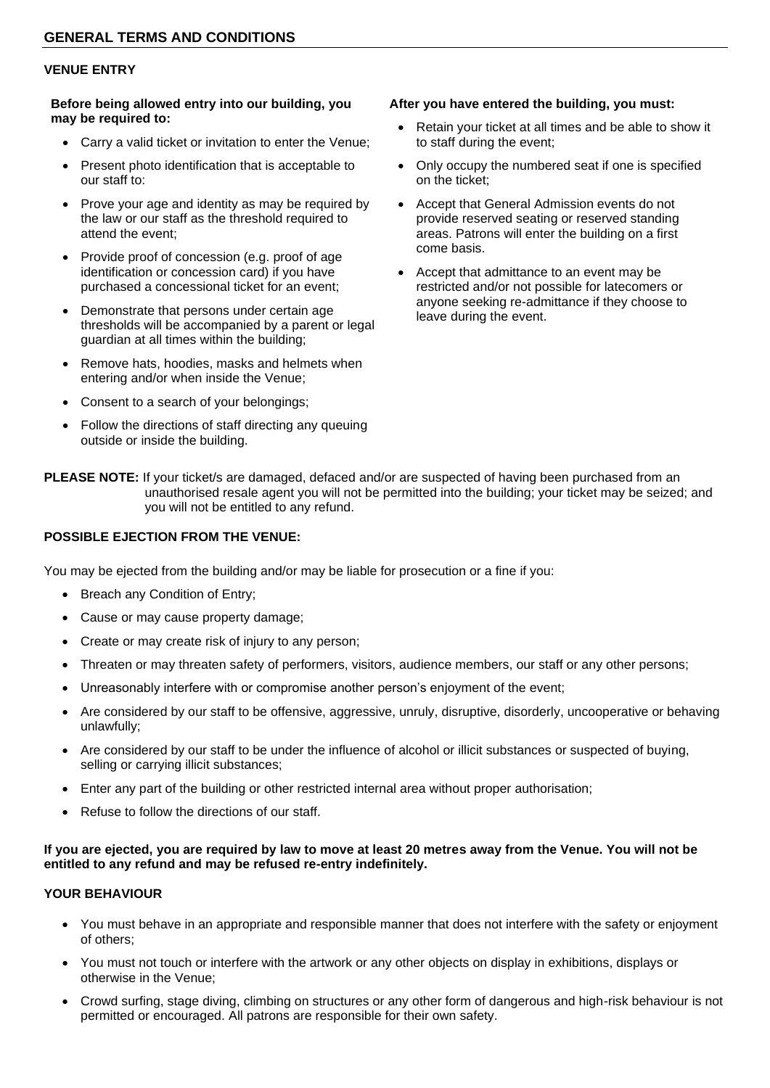### **VENUE ENTRY**

#### **Before being allowed entry into our building, you may be required to:**

- Carry a valid ticket or invitation to enter the Venue;
- Present photo identification that is acceptable to our staff to:
- Prove your age and identity as may be required by the law or our staff as the threshold required to attend the event;
- Provide proof of concession (e.g. proof of age identification or concession card) if you have purchased a concessional ticket for an event;
- Demonstrate that persons under certain age thresholds will be accompanied by a parent or legal guardian at all times within the building;
- Remove hats, hoodies, masks and helmets when entering and/or when inside the Venue;
- Consent to a search of your belongings;
- Follow the directions of staff directing any queuing outside or inside the building.

#### **After you have entered the building, you must:**

- Retain your ticket at all times and be able to show it to staff during the event;
- Only occupy the numbered seat if one is specified on the ticket;
- Accept that General Admission events do not provide reserved seating or reserved standing areas. Patrons will enter the building on a first come basis.
- Accept that admittance to an event may be restricted and/or not possible for latecomers or anyone seeking re-admittance if they choose to leave during the event.

**PLEASE NOTE:** If your ticket/s are damaged, defaced and/or are suspected of having been purchased from an unauthorised resale agent you will not be permitted into the building; your ticket may be seized; and you will not be entitled to any refund.

### **POSSIBLE EJECTION FROM THE VENUE:**

You may be ejected from the building and/or may be liable for prosecution or a fine if you:

- Breach any Condition of Entry;
- Cause or may cause property damage;
- Create or may create risk of injury to any person;
- Threaten or may threaten safety of performers, visitors, audience members, our staff or any other persons;
- Unreasonably interfere with or compromise another person's enjoyment of the event;
- Are considered by our staff to be offensive, aggressive, unruly, disruptive, disorderly, uncooperative or behaving unlawfully;
- Are considered by our staff to be under the influence of alcohol or illicit substances or suspected of buying, selling or carrying illicit substances;
- Enter any part of the building or other restricted internal area without proper authorisation;
- Refuse to follow the directions of our staff.

### **If you are ejected, you are required by law to move at least 20 metres away from the Venue. You will not be entitled to any refund and may be refused re-entry indefinitely.**

# **YOUR BEHAVIOUR**

- You must behave in an appropriate and responsible manner that does not interfere with the safety or enjoyment of others;
- You must not touch or interfere with the artwork or any other objects on display in exhibitions, displays or otherwise in the Venue;
- Crowd surfing, stage diving, climbing on structures or any other form of dangerous and high-risk behaviour is not permitted or encouraged. All patrons are responsible for their own safety.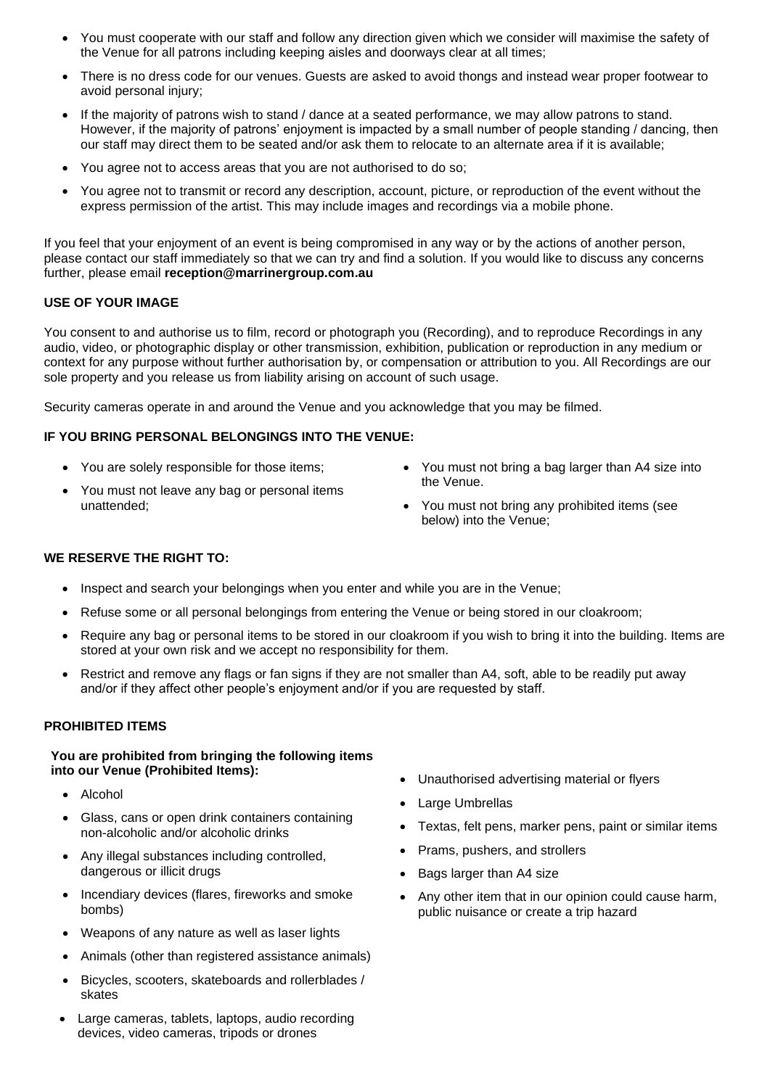- You must cooperate with our staff and follow any direction given which we consider will maximise the safety of the Venue for all patrons including keeping aisles and doorways clear at all times;
- There is no dress code for our venues. Guests are asked to avoid thongs and instead wear proper footwear to avoid personal injury;
- If the majority of patrons wish to stand / dance at a seated performance, we may allow patrons to stand. However, if the majority of patrons' enjoyment is impacted by a small number of people standing / dancing, then our staff may direct them to be seated and/or ask them to relocate to an alternate area if it is available;
- You agree not to access areas that you are not authorised to do so;
- You agree not to transmit or record any description, account, picture, or reproduction of the event without the express permission of the artist. This may include images and recordings via a mobile phone.

If you feel that your enjoyment of an event is being compromised in any way or by the actions of another person, please contact our staff immediately so that we can try and find a solution. If you would like to discuss any concerns further, please email **reception@marrinergroup.com.au**

# **USE OF YOUR IMAGE**

You consent to and authorise us to film, record or photograph you (Recording), and to reproduce Recordings in any audio, video, or photographic display or other transmission, exhibition, publication or reproduction in any medium or context for any purpose without further authorisation by, or compensation or attribution to you. All Recordings are our sole property and you release us from liability arising on account of such usage.

Security cameras operate in and around the Venue and you acknowledge that you may be filmed.

### **IF YOU BRING PERSONAL BELONGINGS INTO THE VENUE:**

- You are solely responsible for those items;
- You must not leave any bag or personal items unattended;
- You must not bring a bag larger than A4 size into the Venue.
- You must not bring any prohibited items (see below) into the Venue;

# **WE RESERVE THE RIGHT TO:**

- Inspect and search your belongings when you enter and while you are in the Venue:
- Refuse some or all personal belongings from entering the Venue or being stored in our cloakroom;
- Require any bag or personal items to be stored in our cloakroom if you wish to bring it into the building. Items are stored at your own risk and we accept no responsibility for them.
- Restrict and remove any flags or fan signs if they are not smaller than A4, soft, able to be readily put away and/or if they affect other people's enjoyment and/or if you are requested by staff.

#### **PROHIBITED ITEMS**

### **You are prohibited from bringing the following items into our Venue (Prohibited Items):**

- Alcohol
- Glass, cans or open drink containers containing non-alcoholic and/or alcoholic drinks
- Any illegal substances including controlled, dangerous or illicit drugs
- Incendiary devices (flares, fireworks and smoke bombs)
- Weapons of any nature as well as laser lights
- Animals (other than registered assistance animals)
- Bicycles, scooters, skateboards and rollerblades / skates
- Large cameras, tablets, laptops, audio recording devices, video cameras, tripods or drones
- Unauthorised advertising material or flyers
- Large Umbrellas
- Textas, felt pens, marker pens, paint or similar items
- Prams, pushers, and strollers
- Bags larger than A4 size
- Any other item that in our opinion could cause harm, public nuisance or create a trip hazard